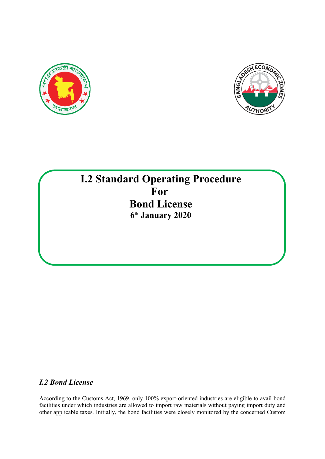



# **I.2 Standard Operating Procedure For Bond License 6 th January 2020**

# *I.2 Bond License*

According to the Customs Act, 1969, only 100% export-oriented industries are eligible to avail bond facilities under which industries are allowed to import raw materials without paying import duty and other applicable taxes. Initially, the bond facilities were closely monitored by the concerned Custom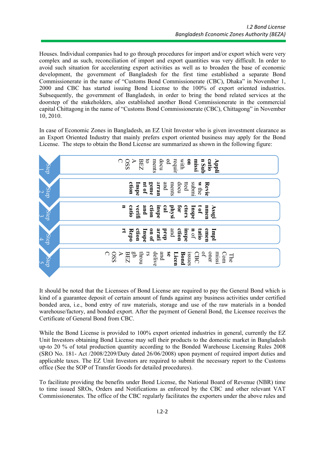Houses. Individual companies had to go through procedures for import and/or export which were very complex and as such, reconciliation of import and export quantities was very difficult. In order to avoid such situation for accelerating export activities as well as to broaden the base of economic development, the government of Bangladesh for the first time established a separate Bond Commissionerate in the name of "Customs Bond Commissionerate (CBC), Dhaka" in November 1, 2000 and CBC has started issuing Bond License to the 100% of export oriented industries. Subsequently, the government of Bangladesh, in order to bring the bond related services at the doorstep of the stakeholders, also established another Bond Commissionerate in the commercial capital Chittagong in the name of "Customs Bond Commissionerate (CBC), Chittagong" in November 10, 2010.

In case of Economic Zones in Bangladesh, an EZ Unit Investor who is given investment clearance as an Export Oriented Industry that mainly prefers export oriented business may apply for the Bond License. The steps to obtain the Bond License are summarized as shown in the following figure:



It should be noted that the Licensees of Bond License are required to pay the General Bond which is kind of a guarantee deposit of certain amount of funds against any business activities under certified bonded area, i.e., bond entry of raw materials, storage and use of the raw materials in a bonded warehouse/factory, and bonded export. After the payment of General Bond, the Licensee receives the Certificate of General Bond from CBC.

While the Bond License is provided to  $100\%$  export oriented industries in general, currently the EZ Unit Investors obtaining Bond License may sell their products to the domestic market in Bangladesh up-to 20 % of total production quantity according to the Bonded Warehouse Licensing Rules 2008 (SRO No. 181- Act /2008/2209/Duty dated 26/06/2008) upon payment of required import duties and applicable taxes. The EZ Unit Investors are required to submit the necessary report to the Customs office (See the SOP of Transfer Goods for detailed procedures).

To facilitate providing the benefits under Bond License, the National Board of Revenue (NBR) time to time issued SROs, Orders and Notifications as enforced by the CBC and other relevant VAT Commissionerates. The office of the CBC regularly facilitates the exporters under the above rules and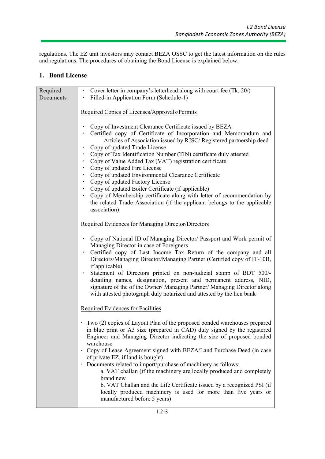regulations. The EZ unit investors may contact BEZA OSSC to get the latest information on the rules and regulations. The procedures of obtaining the Bond License is explained below:

### **1. Bond License**

| Filled-in Application Form (Schedule-1)<br>Required Copies of Licenses/Approvals/Permits<br>Copy of Investment Clearance Certificate issued by BEZA<br>Certified copy of Certificate of Incorporation and Memorandum and<br>Articles of Association issued by RJSC/Registered partnership deed<br>Copy of updated Trade License                                                                                                                                                                                                                                                                                                                                                    |
|------------------------------------------------------------------------------------------------------------------------------------------------------------------------------------------------------------------------------------------------------------------------------------------------------------------------------------------------------------------------------------------------------------------------------------------------------------------------------------------------------------------------------------------------------------------------------------------------------------------------------------------------------------------------------------|
|                                                                                                                                                                                                                                                                                                                                                                                                                                                                                                                                                                                                                                                                                    |
|                                                                                                                                                                                                                                                                                                                                                                                                                                                                                                                                                                                                                                                                                    |
| Copy of Tax Identification Number (TIN) certificate duly attested<br>Copy of Value Added Tax (VAT) registration certificate<br>Copy of updated Fire License<br>Copy of updated Environmental Clearance Certificate<br>Copy of updated Factory License<br>Copy of updated Boiler Certificate (if applicable)<br>Copy of Membership certificate along with letter of recommendation by<br>the related Trade Association (if the applicant belongs to the applicable<br>association)                                                                                                                                                                                                  |
| Required Evidences for Managing Director/Directors                                                                                                                                                                                                                                                                                                                                                                                                                                                                                                                                                                                                                                 |
| Copy of National ID of Managing Director/ Passport and Work permit of<br>Managing Director in case of Foreigners<br>Certified copy of Last Income Tax Return of the company and all<br>Directors/Managing Director/Managing Partner (Certified copy of IT-10B,<br>if applicable)<br>Statement of Directors printed on non-judicial stamp of BDT 500/-<br>detailing names, designation, present and permanent address, NID,<br>signature of the of the Owner/ Managing Partner/ Managing Director along<br>with attested photograph duly notarized and attested by the lien bank                                                                                                    |
| Required Evidences for Facilities                                                                                                                                                                                                                                                                                                                                                                                                                                                                                                                                                                                                                                                  |
| • Two (2) copies of Layout Plan of the proposed bonded warehouses prepared<br>in blue print or A3 size (prepared in CAD) duly signed by the registered<br>Engineer and Managing Director indicating the size of proposed bonded<br>• Copy of Lease Agreement signed with BEZA/Land Purchase Deed (in case<br>of private EZ, if land is bought)<br>· Documents related to import/purchase of machinery as follows:<br>a. VAT challan (if the machinery are locally produced and completely<br>brand new<br>b. VAT Challan and the Life Certificate issued by a recognized PSI (if<br>locally produced machinery is used for more than five years or<br>manufactured before 5 years) |
|                                                                                                                                                                                                                                                                                                                                                                                                                                                                                                                                                                                                                                                                                    |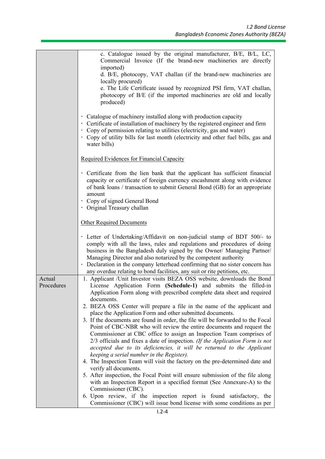|                      | c. Catalogue issued by the original manufacturer, B/E, B/L, LC,                                                                                            |
|----------------------|------------------------------------------------------------------------------------------------------------------------------------------------------------|
|                      | Commercial Invoice (If the brand-new machineries are directly<br>imported)                                                                                 |
|                      | d. B/E, photocopy, VAT challan (if the brand-new machineries are                                                                                           |
|                      | locally procured)                                                                                                                                          |
|                      | e. The Life Certificate issued by recognized PSI firm, VAT challan,                                                                                        |
|                      | photocopy of B/E (if the imported machineries are old and locally                                                                                          |
|                      | produced)                                                                                                                                                  |
|                      |                                                                                                                                                            |
|                      | Catalogue of machinery installed along with production capacity<br>• Certificate of installation of machinery by the registered engineer and firm          |
|                      | • Copy of permission relating to utilities (electricity, gas and water)                                                                                    |
|                      | Copy of utility bills for last month (electricity and other fuel bills, gas and                                                                            |
|                      | water bills)                                                                                                                                               |
|                      |                                                                                                                                                            |
|                      | Required Evidences for Financial Capacity                                                                                                                  |
|                      |                                                                                                                                                            |
|                      | · Certificate from the lien bank that the applicant has sufficient financial<br>capacity or certificate of foreign currency encashment along with evidence |
|                      | of bank loans / transaction to submit General Bond (GB) for an appropriate                                                                                 |
|                      | amount                                                                                                                                                     |
|                      | Copy of signed General Bond                                                                                                                                |
|                      | · Original Treasury challan                                                                                                                                |
|                      |                                                                                                                                                            |
|                      | Other Required Documents                                                                                                                                   |
|                      | · Letter of Undertaking/Affidavit on non-judicial stamp of BDT 500/- to                                                                                    |
|                      | comply with all the laws, rules and regulations and procedures of doing                                                                                    |
|                      | business in the Bangladesh duly signed by the Owner/ Managing Partner/                                                                                     |
|                      | Managing Director and also notarized by the competent authority                                                                                            |
|                      | Declaration in the company letterhead confirming that no sister concern has                                                                                |
|                      | any overdue relating to bond facilities, any suit or rite petitions, etc.                                                                                  |
| Actual<br>Procedures | 1. Applicant /Unit Investor visits BEZA OSS website, downloads the Bond                                                                                    |
|                      | License Application Form (Schedule-1) and submits the filled-in<br>Application Form along with prescribed complete data sheet and required                 |
|                      | documents.                                                                                                                                                 |
|                      | 2. BEZA OSS Center will prepare a file in the name of the applicant and                                                                                    |
|                      | place the Application Form and other submitted documents.                                                                                                  |
|                      | 3. If the documents are found in order, the file will be forwarded to the Focal                                                                            |
|                      | Point of CBC-NBR who will review the entire documents and request the                                                                                      |
|                      | Commissioner at CBC office to assign an Inspection Team comprises of                                                                                       |
|                      | 2/3 officials and fixes a date of inspection. (If the Application Form is not<br>accepted due to its deficiencies, it will be returned to the Applicant    |
|                      | keeping a serial number in the Register).                                                                                                                  |
|                      | 4. The Inspection Team will visit the factory on the pre-determined date and                                                                               |
|                      | verify all documents.                                                                                                                                      |
|                      | 5. After inspection, the Focal Point will ensure submission of the file along                                                                              |
|                      | with an Inspection Report in a specified format (See Annexure-A) to the                                                                                    |
|                      | Commissioner (CBC).                                                                                                                                        |
|                      | 6. Upon review, if the inspection report is found satisfactory, the                                                                                        |
|                      | Commissioner (CBC) will issue bond license with some conditions as per                                                                                     |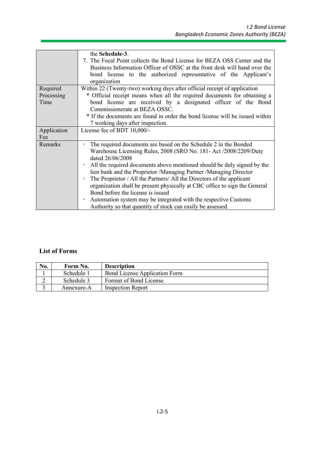|                                | the Schedule-3.<br>7. The Focal Point collects the Bond License for BEZA OSS Center and the<br>Business Information Officer of OSSC at the front desk will hand over the<br>bond license to the authorized representative of the Applicant's<br>organization                                                                                                                                                                                                                                                                                                                                                                                                                               |
|--------------------------------|--------------------------------------------------------------------------------------------------------------------------------------------------------------------------------------------------------------------------------------------------------------------------------------------------------------------------------------------------------------------------------------------------------------------------------------------------------------------------------------------------------------------------------------------------------------------------------------------------------------------------------------------------------------------------------------------|
| Required<br>Processing<br>Time | Within 22 (Twenty-two) working days after official receipt of application<br>* Official receipt means when all the required documents for obtaining a<br>bond license are received by a designated officer of the Bond<br>Commissionerate at BEZA OSSC.<br>* If the documents are found in order the bond license will be issued within<br>7 working days after inspection.                                                                                                                                                                                                                                                                                                                |
| Application<br>Fee             | License fee of BDT 10,000/-                                                                                                                                                                                                                                                                                                                                                                                                                                                                                                                                                                                                                                                                |
| Remarks                        | The required documents are based on the Schedule 2 in the Bonded<br>$\bullet$<br>Warehouse Licensing Rules, 2008 (SRO No. 181- Act /2008/2209/Duty<br>dated 26/06/2008<br>All the required documents above mentioned should be duly signed by the<br>$\bullet$<br>lien bank and the Proprietor /Managing Partner /Managing Director<br>The Proprietor / All the Partners/ All the Directors of the applicant<br>$\bullet$<br>organization shall be present physically at CBC office to sign the General<br>Bond before the license is issued<br>Automation system may be integrated with the respective Customs<br>$\bullet$<br>Authority so that quantity of stock can easily be assessed |

### **List of Forms**

| No. | Form No.   | <b>Description</b>                   |
|-----|------------|--------------------------------------|
|     | Schedule 1 | <b>Bond License Application Form</b> |
|     | Schedule 3 | Format of Bond License               |
|     | Annexure-A | <b>Inspection Report</b>             |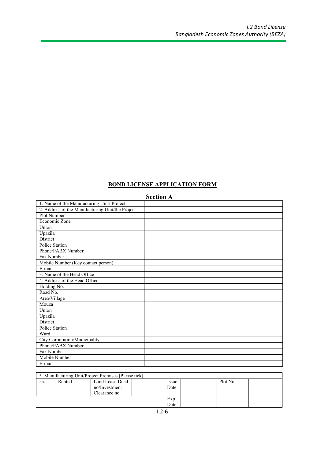### **BOND LICENSE APPLICATION FORM**

|                                                  | эесион а |
|--------------------------------------------------|----------|
| 1. Name of the Manufacturing Unit/ Project       |          |
| 2. Address of the Manufacturing Unit/the Project |          |
| Plot Number                                      |          |
| Economic Zone                                    |          |
| Union                                            |          |
| Upazila                                          |          |
| District                                         |          |
| Police Station                                   |          |
| Phone/PABX Number                                |          |
| Fax Number                                       |          |
| Mobile Number (Key contact person)               |          |
| E-mail                                           |          |
| 3. Name of the Head Office                       |          |
| 4. Address of the Head Office                    |          |
| Holding No.                                      |          |
| Road No.                                         |          |
| Area/Village                                     |          |
| Mouza                                            |          |
| Union                                            |          |
| Upazila                                          |          |
| District                                         |          |
| Police Station                                   |          |
| Ward                                             |          |
| City Corporation/Municipality                    |          |
| Phone/PABX Number                                |          |
| Fax Number                                       |          |
| Mobile Number                                    |          |
| E-mail                                           |          |

## **Section A**

|     |        | 5. Manufacturing Unit/Project Premises [Please tick] |              |         |  |
|-----|--------|------------------------------------------------------|--------------|---------|--|
| 5а. | Rented | Land Lease Deed                                      | <i>Issue</i> | Plot No |  |
|     |        | no/Investment                                        | Date         |         |  |
|     |        | Clearance no.                                        |              |         |  |
|     |        |                                                      | Exp.         |         |  |
|     |        |                                                      | Date         |         |  |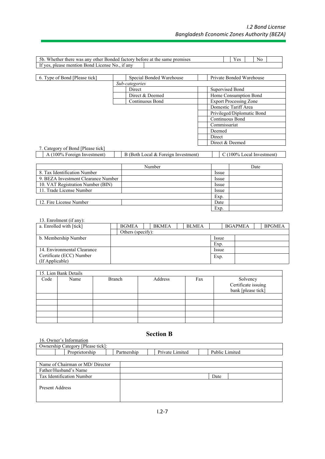| 5h<br>there<br>Whether<br>. anv<br><b>Bonded</b><br>hetore<br>tactory.<br>other<br>was       | $\Delta$ | Nc |  |  |
|----------------------------------------------------------------------------------------------|----------|----|--|--|
| 11 anv<br>: mention<br>acense<br>$H$ $VAC$<br>please<br>Bond<br>$N_{\Omega}$<br>$\mathbf{H}$ |          |    |  |  |

| 6. Type of Bond [Please tick]     | Special Bonded Warehouse | Private Bonded Warehouse      |
|-----------------------------------|--------------------------|-------------------------------|
|                                   | Sub-categories           |                               |
|                                   | Direct                   | Supervised Bond               |
|                                   | Direct & Deemed          | Home Consumption Bond         |
|                                   | Continuous Bond          | <b>Export Processing Zone</b> |
|                                   |                          | Domestic Tariff Area          |
|                                   |                          | Privileged/Diplomatic Bond    |
|                                   |                          | Continuous Bond               |
|                                   |                          | Commissariat                  |
|                                   |                          | Deemed                        |
|                                   |                          | Direct                        |
|                                   |                          | Direct & Deemed               |
| 7. Category of Bond [Please tick] |                          |                               |

| 100%<br>Foreign | . Investment | $\textcolor{red}{\downarrow}$ ocal & Foreign Investment)<br>B (Both | $100\%$<br>∟ocal Investment† |
|-----------------|--------------|---------------------------------------------------------------------|------------------------------|

|                                     | Number |             | Date |
|-------------------------------------|--------|-------------|------|
| 8. Tax Identification Number        |        | <i>ssue</i> |      |
| 9. BEZA Investment Clearance Number |        | Issue       |      |
| 10. VAT Registration Number (BIN)   |        | Issue       |      |
| 11. Trade License Number            |        | Issue       |      |
|                                     |        | Exp.        |      |
| 12. Fire License Number             |        | Date        |      |
|                                     |        | Exp.        |      |

13. Enrolment (if any):

| a. Enrolled with [tick]     | <b>BGMEA</b>      | <b>BKMEA</b> | BLMEA |              | <b>BGAPMEA</b> | <b>BPGMEA</b> |  |
|-----------------------------|-------------------|--------------|-------|--------------|----------------|---------------|--|
|                             | Others (specify): |              |       |              |                |               |  |
| b. Membership Number        |                   |              |       | <i>Issue</i> |                |               |  |
|                             |                   |              |       | Exp.         |                |               |  |
| 14. Environmental Clearance |                   |              |       | <i>Issue</i> |                |               |  |
| Certificate (ECC) Number    |                   |              |       | Exp.         |                |               |  |
| (If Applicable)             |                   |              |       |              |                |               |  |

|      | 15. Lien Bank Details |               |         |     |                                                       |
|------|-----------------------|---------------|---------|-----|-------------------------------------------------------|
| Code | Name                  | <b>Branch</b> | Address | Fax | Solvency<br>Certificate issuing<br>bank [please tick] |
|      |                       |               |         |     |                                                       |
|      |                       |               |         |     |                                                       |
|      |                       |               |         |     |                                                       |
|      |                       |               |         |     |                                                       |
|      |                       |               |         |     |                                                       |

### **Section B**

| DUUUH D                           |             |                 |                |  |  |  |  |
|-----------------------------------|-------------|-----------------|----------------|--|--|--|--|
| 16. Owner's Information           |             |                 |                |  |  |  |  |
| Ownership Category [Please tick]: |             |                 |                |  |  |  |  |
| Proprietorship                    | Partnership | Private Limited | Public Limited |  |  |  |  |

| Name of Chairman or MD/ Director |      |  |
|----------------------------------|------|--|
| Father/Husband's Name            |      |  |
| Tax Identification Number        | Date |  |
| <b>Present Address</b>           |      |  |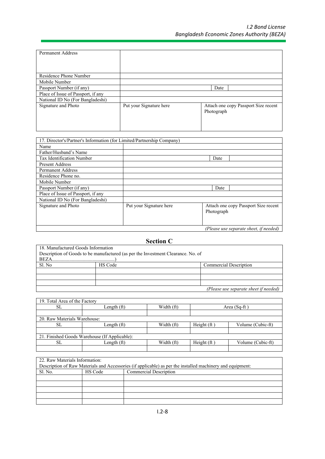┐

| <b>Permanent Address</b>           |                         |            |                                      |
|------------------------------------|-------------------------|------------|--------------------------------------|
|                                    |                         |            |                                      |
|                                    |                         |            |                                      |
| Residence Phone Number             |                         |            |                                      |
| Mobile Number                      |                         |            |                                      |
| Passport Number (if any)           |                         | Date       |                                      |
| Place of Issue of Passport, if any |                         |            |                                      |
| National ID No (For Bangladeshi)   |                         |            |                                      |
| Signature and Photo                | Put your Signature here | Photograph | Attach one copy Passport Size recent |
|                                    |                         |            |                                      |

| 17. Director's/Partner's Information (for Limited/Partnership Company) |                         |            |                                        |
|------------------------------------------------------------------------|-------------------------|------------|----------------------------------------|
| Name                                                                   |                         |            |                                        |
| Father/Husband's Name                                                  |                         |            |                                        |
| Tax Identification Number                                              |                         | Date       |                                        |
| <b>Present Address</b>                                                 |                         |            |                                        |
| <b>Permanent Address</b>                                               |                         |            |                                        |
| Residence Phone no.                                                    |                         |            |                                        |
| Mobile Number                                                          |                         |            |                                        |
| Passport Number (if any)                                               |                         | Date       |                                        |
| Place of Issue of Passport, if any                                     |                         |            |                                        |
| National ID No (For Bangladeshi)                                       |                         |            |                                        |
| Signature and Photo                                                    | Put your Signature here |            | Attach one copy Passport Size recent   |
|                                                                        |                         | Photograph |                                        |
|                                                                        |                         |            |                                        |
|                                                                        |                         |            |                                        |
|                                                                        |                         |            | (Please use separate sheet, if needed) |

# **Section C**

| 18. Manufactured Goods Information                                               |  |  |  |  |  |
|----------------------------------------------------------------------------------|--|--|--|--|--|
| Description of Goods to be manufactured (as per the Investment Clearance. No. of |  |  |  |  |  |
|                                                                                  |  |  |  |  |  |
| <b>Commercial Description</b>                                                    |  |  |  |  |  |
|                                                                                  |  |  |  |  |  |
|                                                                                  |  |  |  |  |  |
|                                                                                  |  |  |  |  |  |
| (Please use separate sheet if needed)                                            |  |  |  |  |  |
|                                                                                  |  |  |  |  |  |

| 19. Total Area of the Factory                 |             |            |               |                   |  |  |  |
|-----------------------------------------------|-------------|------------|---------------|-------------------|--|--|--|
| SL                                            | Length (ft) | Width (ft) |               | Area $(Sq-ft)$    |  |  |  |
|                                               |             |            |               |                   |  |  |  |
| 20. Raw Materials Warehouse:                  |             |            |               |                   |  |  |  |
| SL.                                           | Length (ft) | Width (ft) | Height $(ft)$ | Volume (Cubic-ft) |  |  |  |
|                                               |             |            |               |                   |  |  |  |
| 21. Finished Goods Warehouse (If Applicable): |             |            |               |                   |  |  |  |
| SL                                            | Length (ft) | Width (ft) | Height $(ft)$ | Volume (Cubic-ft) |  |  |  |
|                                               |             |            |               |                   |  |  |  |

#### 22. Raw Materials Information:

| Description of Raw Materials and Accessories (if applicable) as per the installed machinery and equipment: |         |                        |  |  |  |
|------------------------------------------------------------------------------------------------------------|---------|------------------------|--|--|--|
| Sl. No.                                                                                                    | HS Code | Commercial Description |  |  |  |
|                                                                                                            |         |                        |  |  |  |
|                                                                                                            |         |                        |  |  |  |
|                                                                                                            |         |                        |  |  |  |
|                                                                                                            |         |                        |  |  |  |
|                                                                                                            |         |                        |  |  |  |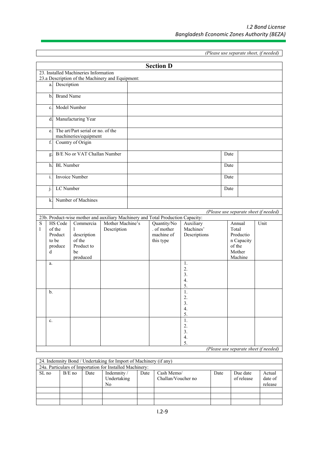*(Please use separate sheet, if needed)*

|                |                   |                                                                                           |                  | <b>Section D</b>                                                                |                  |        |            |                                       |
|----------------|-------------------|-------------------------------------------------------------------------------------------|------------------|---------------------------------------------------------------------------------|------------------|--------|------------|---------------------------------------|
|                |                   | 23. Installed Machineries Information<br>23.a Description of the Machinery and Equipment: |                  |                                                                                 |                  |        |            |                                       |
| a.             | Description       |                                                                                           |                  |                                                                                 |                  |        |            |                                       |
| $\mathbf{b}$ . | <b>Brand Name</b> |                                                                                           |                  |                                                                                 |                  |        |            |                                       |
| c.             |                   | Model Number                                                                              |                  |                                                                                 |                  |        |            |                                       |
|                |                   | d. Manufacturing Year                                                                     |                  |                                                                                 |                  |        |            |                                       |
| e.             |                   | The art/Part serial or no. of the<br>machineries/equipment                                |                  |                                                                                 |                  |        |            |                                       |
| $\mathbf f$    |                   | Country of Origin                                                                         |                  |                                                                                 |                  |        |            |                                       |
| g.             |                   | B/E No or VAT Challan Number                                                              |                  |                                                                                 |                  | Date   |            |                                       |
|                | h. BL Number      |                                                                                           |                  |                                                                                 |                  | Date   |            |                                       |
| $i$ .          |                   | Invoice Number                                                                            |                  |                                                                                 |                  | Date   |            |                                       |
| j.             | LC Number         |                                                                                           |                  |                                                                                 |                  | Date   |            |                                       |
|                |                   | k. Number of Machines                                                                     |                  |                                                                                 |                  |        |            |                                       |
|                |                   |                                                                                           |                  |                                                                                 |                  |        |            | (Please use separate sheet if needed) |
|                |                   |                                                                                           |                  | 23b. Product-wise mother and auxiliary Machinery and Total Production Capacity: |                  |        |            |                                       |
| ${\bf S}$      | <b>HS</b> Code    | Commercia                                                                                 | Mother Machine's | Quantity/No                                                                     | Auxiliary        |        | Annual     | Unit                                  |
| 1              | of the            | -1                                                                                        | Description      | . of mother                                                                     | Machines'        | Total  |            |                                       |
|                | Product<br>to be  | description<br>of the                                                                     |                  | machine of                                                                      | Descriptions     |        | Productio  |                                       |
|                |                   | Product to                                                                                |                  | this type                                                                       |                  | of the | n Capacity |                                       |
|                | produce           | be                                                                                        |                  |                                                                                 |                  |        | Mother     |                                       |
| d              |                   |                                                                                           |                  |                                                                                 |                  |        |            |                                       |
| a.             |                   | produced                                                                                  |                  |                                                                                 | 1.               |        | Machine    |                                       |
|                |                   |                                                                                           |                  |                                                                                 | 2.               |        |            |                                       |
|                |                   |                                                                                           |                  |                                                                                 | 3.               |        |            |                                       |
|                |                   |                                                                                           |                  |                                                                                 | 4.               |        |            |                                       |
|                |                   |                                                                                           |                  |                                                                                 | 5.               |        |            |                                       |
| $\mathbf b$ .  |                   |                                                                                           |                  |                                                                                 | 1.               |        |            |                                       |
|                |                   |                                                                                           |                  |                                                                                 | 2.               |        |            |                                       |
|                |                   |                                                                                           |                  |                                                                                 | 3.               |        |            |                                       |
|                |                   |                                                                                           |                  |                                                                                 | $\overline{4}$ . |        |            |                                       |
| $\mathbf{c}$ . |                   |                                                                                           |                  |                                                                                 | 5.<br>1.         |        |            |                                       |
|                |                   |                                                                                           |                  |                                                                                 | 2.               |        |            |                                       |
|                |                   |                                                                                           |                  |                                                                                 | 3.               |        |            |                                       |
|                |                   |                                                                                           |                  |                                                                                 | 4.               |        |            |                                       |
|                |                   |                                                                                           |                  |                                                                                 | 5.               |        |            |                                       |
|                |                   |                                                                                           |                  |                                                                                 |                  |        |            | (Please use separate sheet if needed) |

| 24. Indemnity Bond / Undertaking for Import of Machinery (if any)<br>24a. Particulars of Importation for Installed Machinery: |          |      |                                  |      |                                  |      |                        |                              |
|-------------------------------------------------------------------------------------------------------------------------------|----------|------|----------------------------------|------|----------------------------------|------|------------------------|------------------------------|
| SL no                                                                                                                         | $B/E$ no | Date | Indemnity /<br>Undertaking<br>No | Date | Cash Memo/<br>Challan/Voucher no | Date | Due date<br>of release | Actual<br>date of<br>release |
|                                                                                                                               |          |      |                                  |      |                                  |      |                        |                              |
|                                                                                                                               |          |      |                                  |      |                                  |      |                        |                              |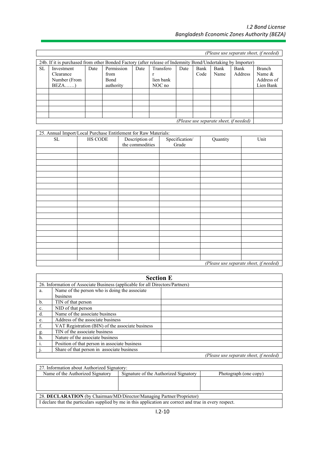| (Please use separate sheet, if needed)                                                                      |                                        |      |            |      |           |      |      |      |         |            |
|-------------------------------------------------------------------------------------------------------------|----------------------------------------|------|------------|------|-----------|------|------|------|---------|------------|
| 24b. If it is purchased from other Bonded Factory (after release of Indemnity Bond/Undertaking by Importer) |                                        |      |            |      |           |      |      |      |         |            |
| <b>SL</b>                                                                                                   | Investment                             | Date | Permission | Date | Transfero | Date | Bank | Bank | Bank    | Branch     |
|                                                                                                             | Clearance                              |      | from       |      |           |      | Code | Name | Address | Name $\&$  |
|                                                                                                             | Number (From                           |      | Bond       |      | lien bank |      |      |      |         | Address of |
|                                                                                                             | $BEZA$ )                               |      | authority  |      | NOC no    |      |      |      |         | Lien Bank  |
|                                                                                                             |                                        |      |            |      |           |      |      |      |         |            |
|                                                                                                             |                                        |      |            |      |           |      |      |      |         |            |
|                                                                                                             |                                        |      |            |      |           |      |      |      |         |            |
|                                                                                                             |                                        |      |            |      |           |      |      |      |         |            |
|                                                                                                             |                                        |      |            |      |           |      |      |      |         |            |
|                                                                                                             | (Please use separate sheet, if needed) |      |            |      |           |      |      |      |         |            |

|                     |         | 25. Annual Import/Local Purchase Entitlement for Raw Materials: |                         |          |                                        |
|---------------------|---------|-----------------------------------------------------------------|-------------------------|----------|----------------------------------------|
| $\operatorname{SL}$ | HS CODE | Description of<br>the commodities                               | Specification/<br>Grade | Quantity | Unit                                   |
|                     |         |                                                                 |                         |          |                                        |
|                     |         |                                                                 |                         |          |                                        |
|                     |         |                                                                 |                         |          |                                        |
|                     |         |                                                                 |                         |          |                                        |
|                     |         |                                                                 |                         |          |                                        |
|                     |         |                                                                 |                         |          |                                        |
|                     |         |                                                                 |                         |          |                                        |
|                     |         |                                                                 |                         |          |                                        |
|                     |         |                                                                 |                         |          |                                        |
|                     |         |                                                                 |                         |          |                                        |
|                     |         |                                                                 |                         |          |                                        |
|                     |         |                                                                 |                         |          |                                        |
|                     |         |                                                                 |                         |          |                                        |
|                     |         |                                                                 |                         |          |                                        |
|                     |         |                                                                 |                         |          |                                        |
|                     |         |                                                                 |                         |          |                                        |
|                     |         |                                                                 |                         |          |                                        |
|                     |         |                                                                 |                         |          |                                        |
|                     |         |                                                                 |                         |          |                                        |
|                     |         |                                                                 |                         |          | (Please use separate sheet, if needed) |

|    | <b>Section E</b>                                                              |  |  |  |  |  |  |
|----|-------------------------------------------------------------------------------|--|--|--|--|--|--|
|    | 26. Information of Associate Business (applicable for all Directors/Partners) |  |  |  |  |  |  |
| a. | Name of the person who is doing the associate                                 |  |  |  |  |  |  |
|    | business                                                                      |  |  |  |  |  |  |
| b. | TIN of that person                                                            |  |  |  |  |  |  |
| c. | NID of that person                                                            |  |  |  |  |  |  |
| d. | Name of the associate business                                                |  |  |  |  |  |  |
| e. | Address of the associate business                                             |  |  |  |  |  |  |
| f. | VAT Registration (BIN) of the associate business                              |  |  |  |  |  |  |
| g. | TIN of the associate business                                                 |  |  |  |  |  |  |
| h. | Nature of the associate business                                              |  |  |  |  |  |  |
|    | Position of that person in associate business                                 |  |  |  |  |  |  |
|    | Share of that person in associate business                                    |  |  |  |  |  |  |
|    | (Please use separate sheet, if needed)                                        |  |  |  |  |  |  |

| 27. Information about Authorized Signatory: |                                                                                                          |                       |
|---------------------------------------------|----------------------------------------------------------------------------------------------------------|-----------------------|
| Name of the Authorized Signatory            | Signature of the Authorized Signatory                                                                    | Photograph (one copy) |
|                                             |                                                                                                          |                       |
|                                             |                                                                                                          |                       |
|                                             |                                                                                                          |                       |
|                                             | 28. DECLARATION (by Chairman/MD/Director/Managing Partner/Proprietor)                                    |                       |
|                                             | I declare that the particulars supplied by me in this application are correct and true in every respect. |                       |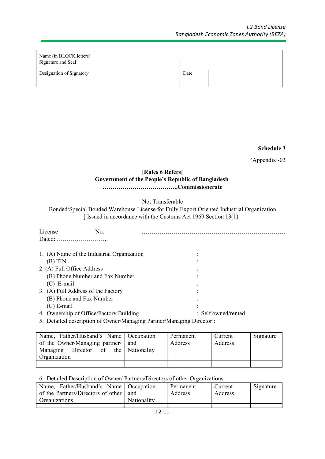| Name (in BLOCK letters)  |      |  |
|--------------------------|------|--|
| Signature and Seal       |      |  |
| Designation of Signatory | Date |  |
|                          |      |  |

**Schedule 3**

"Appendix -03

### **[Rules 6 Refers] Government of the People's Republic of Bangladesh ………………………………..Commissionerate**

Not Transferable

Bonded/Special Bonded Warehouse License for Fully Export Oriented Industrial Organization [ Issued in accordance with the Customs Act 1969 Section 13(1)

| License<br>No.<br>Dated:                   |                                |
|--------------------------------------------|--------------------------------|
| 1. (A) Name of the Industrial Organization |                                |
| $(B)$ TIN                                  |                                |
| 2. (A) Full Office Address                 |                                |
| (B) Phone Number and Fax Number            |                                |
| $(C)$ E-mail                               |                                |
| 3. (A) Full Address of the Factory         |                                |
| (B) Phone and Fax Number                   |                                |
| $(C)$ E-mail                               |                                |
| 4. Ownership of Office/Factory Building    | $\therefore$ Self owned/rented |

5. Detailed description of Owner/Managing Partner/Managing Director :

| Name, Father/Husband's Name   Occupation<br>of the Owner/Managing partner/<br>Director of the Nationality<br>Managing<br>Organization | and | Permanent<br>Address | Current<br>Address | Signature |
|---------------------------------------------------------------------------------------------------------------------------------------|-----|----------------------|--------------------|-----------|
|                                                                                                                                       |     |                      |                    |           |

#### 6. Detailed Description of Owner/ Partners/Directors of other Organizations:

| Name, Father/Husband's Name   Occupation<br>of the Partners/Directors of other | and         | Permanent<br>Address | Current<br>Address | Signature |
|--------------------------------------------------------------------------------|-------------|----------------------|--------------------|-----------|
|                                                                                |             |                      |                    |           |
| Organizations                                                                  | Nationality |                      |                    |           |
|                                                                                |             |                      |                    |           |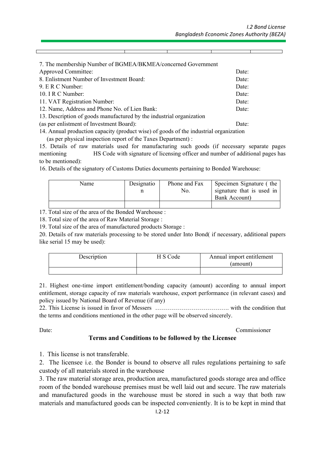| 7. The membership Number of BGMEA/BKMEA/concerned Government         |       |
|----------------------------------------------------------------------|-------|
| <b>Approved Committee:</b>                                           | Date: |
| 8. Enlistment Number of Investment Board:                            | Date: |
| 9. E R C Number:                                                     | Date: |
| 10. I R C Number:                                                    | Date: |
| 11. VAT Registration Number:                                         | Date: |
| 12. Name, Address and Phone No. of Lien Bank:                        | Date: |
| 13. Description of goods manufactured by the industrial organization |       |
| (as per enlistment of Investment Board):                             | Date: |

14. Annual production capacity (product wise) of goods of the industrial organization

(as per physical inspection report of the Taxes Department) :

15. Details of raw materials used for manufacturing such goods (if necessary separate pages mentioning HS Code with signature of licensing officer and number of additional pages has to be mentioned):

16. Details of the signatory of Customs Duties documents pertaining to Bonded Warehouse:

| Name | Designatio | Phone and Fax<br>No. | Specimen Signature (the<br>signature that is used in |
|------|------------|----------------------|------------------------------------------------------|
|      |            |                      | Bank Account)                                        |
|      |            |                      |                                                      |

17. Total size of the area of the Bonded Warehouse :

18. Total size of the area of Raw Material Storage :

19. Total size of the area of manufactured products Storage :

20. Details of raw materials processing to be stored under Into Bond( if necessary, additional papers like serial 15 may be used):

| Description | S Code | Annual import entitlement<br>(amount) |
|-------------|--------|---------------------------------------|
|             |        |                                       |

21. Highest one-time import entitlement/bonding capacity (amount) according to annual import entitlement, storage capacity of raw materials warehouse, export performance (in relevant cases) and policy issued by National Board of Revenue (if any)

22. This License is issued in favor of Messers ………………………………. with the condition that the terms and conditions mentioned in the other page will be observed sincerely.

Date: Commissioner

#### **Terms and Conditions to be followed by the Licensee**

1. This license is not transferable.

2. The licensee i.e. the Bonder is bound to observe all rules regulations pertaining to safe custody of all materials stored in the warehouse

3. The raw material storage area, production area, manufactured goods storage area and office room of the bonded warehouse premises must be well laid out and secure. The raw materials and manufactured goods in the warehouse must be stored in such a way that both raw materials and manufactured goods can be inspected conveniently. It is to be kept in mind that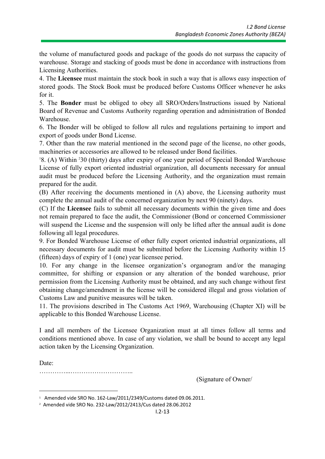the volume of manufactured goods and package of the goods do not surpass the capacity of warehouse. Storage and stacking of goods must be done in accordance with instructions from Licensing Authorities.

4. The **Licensee** must maintain the stock book in such a way that is allows easy inspection of stored goods. The Stock Book must be produced before Customs Officer whenever he asks for it.

5. The **Bonder** must be obliged to obey all SRO/Orders/Instructions issued by National Board of Revenue and Customs Authority regarding operation and administration of Bonded Warehouse.

6. The Bonder will be obliged to follow all rules and regulations pertaining to import and export of goods under Bond License.

7. Other than the raw material mentioned in the second page of the license, no other goods, machineries or accessories are allowed to be released under Bond facilities.

<sup>1</sup>8. (A) Within 230 (thirty) days after expiry of one year period of Special Bonded Warehouse License of fully export oriented industrial organization, all documents necessary for annual audit must be produced before the Licensing Authority, and the organization must remain prepared for the audit.

(B) After receiving the documents mentioned in (A) above, the Licensing authority must complete the annual audit of the concerned organization by next 90 (ninety) days.

(C) If the **Licensee** fails to submit all necessary documents within the given time and does not remain prepared to face the audit, the Commissioner (Bond or concerned Commissioner will suspend the License and the suspension will only be lifted after the annual audit is done following all legal procedures.

9. For Bonded Warehouse License of other fully export oriented industrial organizations, all necessary documents for audit must be submitted before the Licensing Authority within 15 (fifteen) days of expiry of 1 (one) year licensee period.

10. For any change in the licensee organization's organogram and/or the managing committee, for shifting or expansion or any alteration of the bonded warehouse, prior permission from the Licensing Authority must be obtained, and any such change without first obtaining change/amendment in the license will be considered illegal and gross violation of Customs Law and punitive measures will be taken.

11. The provisions described in The Customs Act 1969, Warehousing (Chapter XI) will be applicable to this Bonded Warehouse License.

I and all members of the Licensee Organization must at all times follow all terms and conditions mentioned above. In case of any violation, we shall be bound to accept any legal action taken by the Licensing Organization.

Date: …………...………………………..

(Signature of Owner/

<sup>1</sup> Amended vide SRO No. 162-Law/2011/2349/Customs dated 09.06.2011.

<sup>2</sup> Amended vide SRO No. 232-Law/2012/2413/Cus dated 28.06.2012